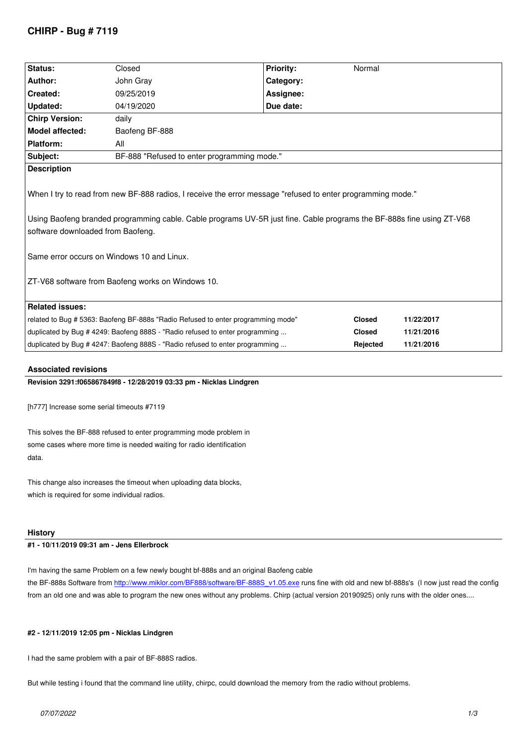| Status:                                                                                                                                                                                                                                                                                                                                                                      | Closed                                                                           | <b>Priority:</b> | Normal        |            |
|------------------------------------------------------------------------------------------------------------------------------------------------------------------------------------------------------------------------------------------------------------------------------------------------------------------------------------------------------------------------------|----------------------------------------------------------------------------------|------------------|---------------|------------|
|                                                                                                                                                                                                                                                                                                                                                                              |                                                                                  |                  |               |            |
| Author:                                                                                                                                                                                                                                                                                                                                                                      | John Gray                                                                        | Category:        |               |            |
| Created:                                                                                                                                                                                                                                                                                                                                                                     | 09/25/2019                                                                       | Assignee:        |               |            |
| Updated:                                                                                                                                                                                                                                                                                                                                                                     | 04/19/2020                                                                       | Due date:        |               |            |
| <b>Chirp Version:</b>                                                                                                                                                                                                                                                                                                                                                        | daily                                                                            |                  |               |            |
| <b>Model affected:</b>                                                                                                                                                                                                                                                                                                                                                       | Baofeng BF-888                                                                   |                  |               |            |
| <b>Platform:</b>                                                                                                                                                                                                                                                                                                                                                             | All                                                                              |                  |               |            |
| Subject:                                                                                                                                                                                                                                                                                                                                                                     | BF-888 "Refused to enter programming mode."                                      |                  |               |            |
| <b>Description</b>                                                                                                                                                                                                                                                                                                                                                           |                                                                                  |                  |               |            |
| When I try to read from new BF-888 radios, I receive the error message "refused to enter programming mode."<br>Using Baofeng branded programming cable. Cable programs UV-5R just fine. Cable programs the BF-888s fine using ZT-V68<br>software downloaded from Baofeng.<br>Same error occurs on Windows 10 and Linux.<br>ZT-V68 software from Baofeng works on Windows 10. |                                                                                  |                  |               |            |
| <b>Related issues:</b>                                                                                                                                                                                                                                                                                                                                                       |                                                                                  |                  |               |            |
|                                                                                                                                                                                                                                                                                                                                                                              | related to Bug # 5363: Baofeng BF-888s "Radio Refused to enter programming mode" |                  | <b>Closed</b> | 11/22/2017 |
| duplicated by Bug # 4249: Baofeng 888S - "Radio refused to enter programming                                                                                                                                                                                                                                                                                                 |                                                                                  | <b>Closed</b>    | 11/21/2016    |            |
|                                                                                                                                                                                                                                                                                                                                                                              | duplicated by Bug #4247: Baofeng 888S - "Radio refused to enter programming      |                  | Rejected      | 11/21/2016 |
|                                                                                                                                                                                                                                                                                                                                                                              |                                                                                  |                  |               |            |

# **Associated revisions**

### **Revision 3291:f065867849f8 - 12/28/2019 03:33 pm - Nicklas Lindgren**

*[h777] Increase some serial timeouts #7119*

*This solves the BF-888 refused to enter programming mode problem in some cases where more time is needed waiting for radio identification data.*

*This change also increases the timeout when uploading data blocks, which is required for some individual radios.*

#### **History**

# **#1 - 10/11/2019 09:31 am - Jens Ellerbrock**

*I'm having the same Problem on a few newly bought bf-888s and an original Baofeng cable the BF-888s Software from http://www.miklor.com/BF888/software/BF-888S\_v1.05.exe runs fine with old and new bf-888s's (I now just read the config from an old one and was able to program the new ones without any problems. Chirp (actual version 20190925) only runs with the older ones....*

# **#2 - 12/11/2019 12:05 pm [- Nicklas Lindgren](http://www.miklor.com/BF888/software/BF-888S_v1.05.exe)**

*I had the same problem with a pair of BF-888S radios.*

*But while testing i found that the command line utility, chirpc, could download the memory from the radio without problems.*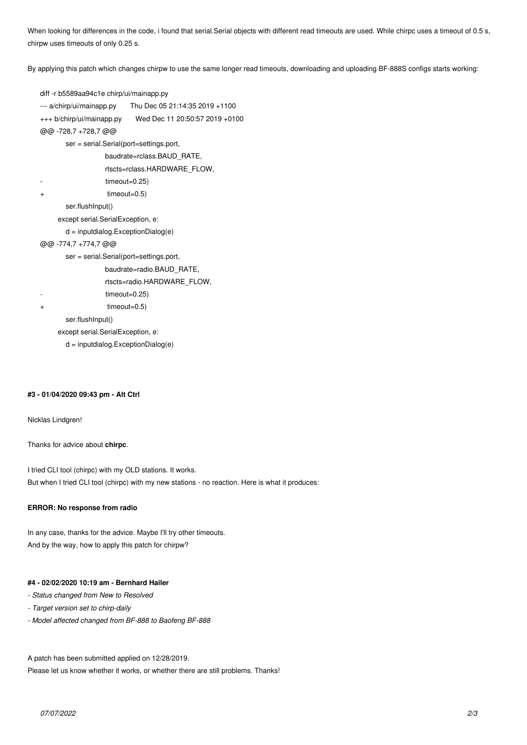*When looking for differences in the code, i found that serial.Serial objects with different read timeouts are used. While chirpc uses a timeout of 0.5 s, chirpw uses timeouts of only 0.25 s.*

*By applying this patch which changes chirpw to use the same longer read timeouts, downloading and uploading BF-888S configs starts working:*

```
diff -r b5589aa94c1e chirp/ui/mainapp.py
--- a/chirp/ui/mainapp.py Thu Dec 05 21:14:35 2019 +1100
+++ b/chirp/ui/mainapp.py Wed Dec 11 20:50:57 2019 +0100
@@ -728,7 +728,7 @@
        ser = serial.Serial(port=settings.port,
                   baudrate=rclass.BAUD_RATE,
                    rtscts=rclass.HARDWARE_FLOW,
                   - timeout=0.25)
+ timeout=0.5)
        ser.flushInput()
      except serial.SerialException, e:
        d = inputdialog.ExceptionDialog(e)
@@ -774,7 +774,7 @@
        ser = serial.Serial(port=settings.port,
                   baudrate=radio.BAUD_RATE,
                    rtscts=radio.HARDWARE_FLOW,
                   - timeout=0.25)
+ timeout=0.5)
        ser.flushInput()
      except serial.SerialException, e:
        d = inputdialog.ExceptionDialog(e)
```
#### **#3 - 01/04/2020 09:43 pm - Alt Ctrl**

*Nicklas Lindgren!*

*Thanks for advice about* **chirpc***.*

*I tried CLI tool (chirpc) with my OLD stations. It works. But when I tried CLI tool (chirpc) with my new stations - no reaction. Here is what it produces:*

#### **ERROR: No response from radio**

*In any case, thanks for the advice. Maybe I'll try other timeouts. And by the way, how to apply this patch for chirpw?*

#### **#4 - 02/02/2020 10:19 am - Bernhard Hailer**

- *Status changed from New to Resolved*
- *Target version set to chirp-daily*
- *Model affected changed from BF-888 to Baofeng BF-888*

*A patch has been submitted applied on 12/28/2019.*

*Please let us know whether it works, or whether there are still problems. Thanks!*